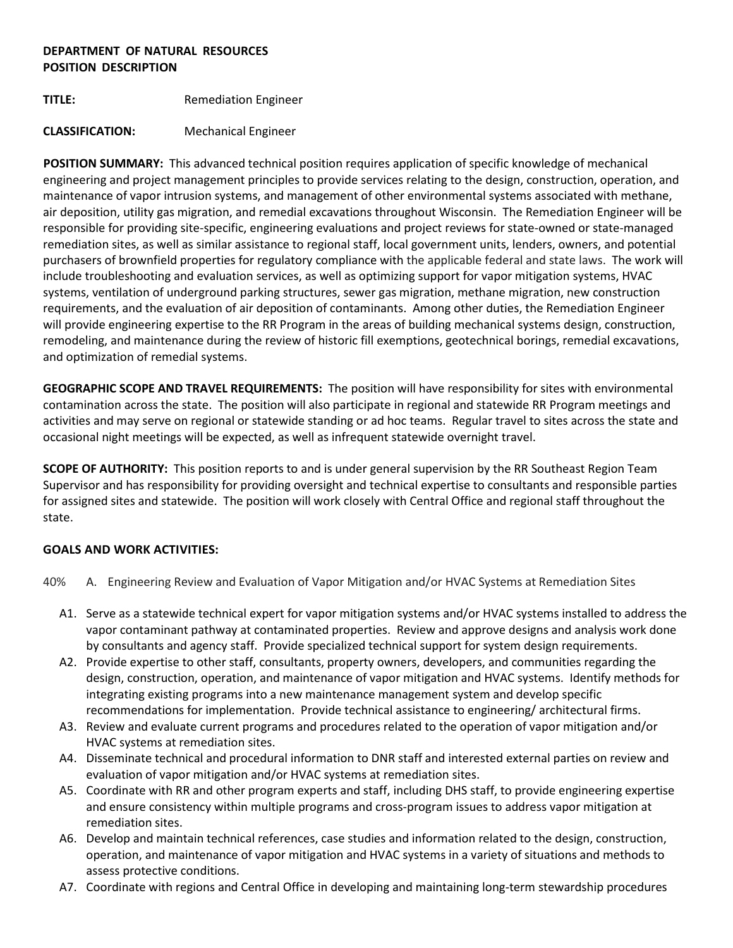## **DEPARTMENT OF NATURAL RESOURCES POSITION DESCRIPTION**

**TITLE:** Remediation Engineer

# **CLASSIFICATION:** Mechanical Engineer

**POSITION SUMMARY:** This advanced technical position requires application of specific knowledge of mechanical engineering and project management principles to provide services relating to the design, construction, operation, and maintenance of vapor intrusion systems, and management of other environmental systems associated with methane, air deposition, utility gas migration, and remedial excavations throughout Wisconsin. The Remediation Engineer will be responsible for providing site-specific, engineering evaluations and project reviews for state-owned or state-managed remediation sites, as well as similar assistance to regional staff, local government units, lenders, owners, and potential purchasers of brownfield properties for regulatory compliance with the applicable federal and state laws. The work will include troubleshooting and evaluation services, as well as optimizing support for vapor mitigation systems, HVAC systems, ventilation of underground parking structures, sewer gas migration, methane migration, new construction requirements, and the evaluation of air deposition of contaminants. Among other duties, the Remediation Engineer will provide engineering expertise to the RR Program in the areas of building mechanical systems design, construction, remodeling, and maintenance during the review of historic fill exemptions, geotechnical borings, remedial excavations, and optimization of remedial systems.

**GEOGRAPHIC SCOPE AND TRAVEL REQUIREMENTS:** The position will have responsibility for sites with environmental contamination across the state. The position will also participate in regional and statewide RR Program meetings and activities and may serve on regional or statewide standing or ad hoc teams. Regular travel to sites across the state and occasional night meetings will be expected, as well as infrequent statewide overnight travel.

**SCOPE OF AUTHORITY:** This position reports to and is under general supervision by the RR Southeast Region Team Supervisor and has responsibility for providing oversight and technical expertise to consultants and responsible parties for assigned sites and statewide. The position will work closely with Central Office and regional staff throughout the state.

### **GOALS AND WORK ACTIVITIES:**

- 40% A. Engineering Review and Evaluation of Vapor Mitigation and/or HVAC Systems at Remediation Sites
	- A1. Serve as a statewide technical expert for vapor mitigation systems and/or HVAC systems installed to address the vapor contaminant pathway at contaminated properties. Review and approve designs and analysis work done by consultants and agency staff. Provide specialized technical support for system design requirements.
	- A2. Provide expertise to other staff, consultants, property owners, developers, and communities regarding the design, construction, operation, and maintenance of vapor mitigation and HVAC systems. Identify methods for integrating existing programs into a new maintenance management system and develop specific recommendations for implementation. Provide technical assistance to engineering/ architectural firms.
	- A3. Review and evaluate current programs and procedures related to the operation of vapor mitigation and/or HVAC systems at remediation sites.
	- A4. Disseminate technical and procedural information to DNR staff and interested external parties on review and evaluation of vapor mitigation and/or HVAC systems at remediation sites.
	- A5. Coordinate with RR and other program experts and staff, including DHS staff, to provide engineering expertise and ensure consistency within multiple programs and cross-program issues to address vapor mitigation at remediation sites.
	- A6. Develop and maintain technical references, case studies and information related to the design, construction, operation, and maintenance of vapor mitigation and HVAC systems in a variety of situations and methods to assess protective conditions.
	- A7. Coordinate with regions and Central Office in developing and maintaining long-term stewardship procedures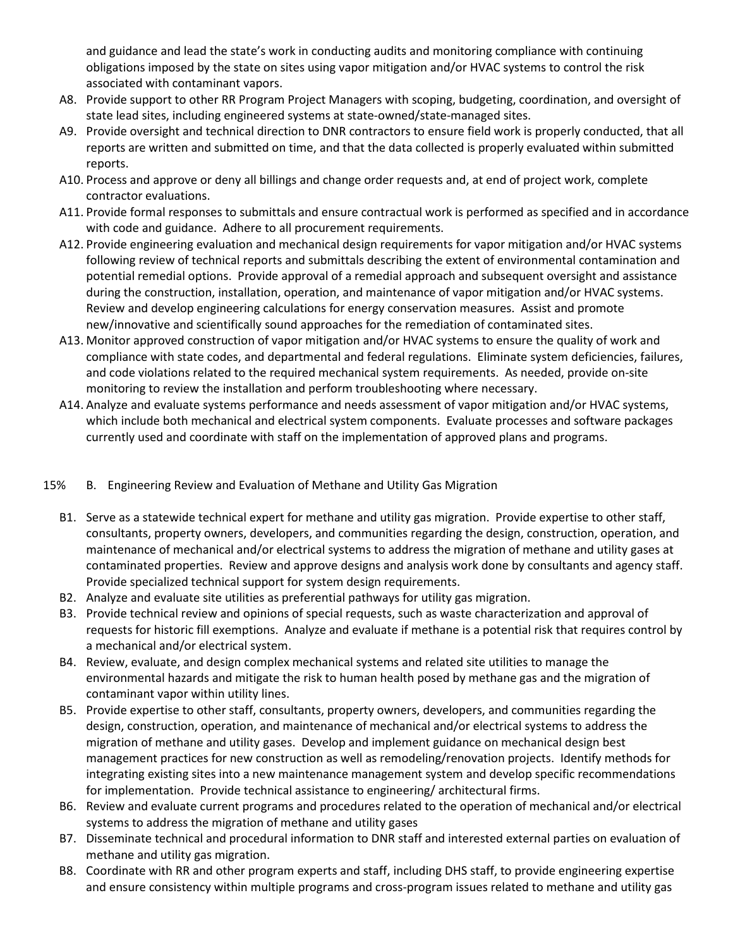and guidance and lead the state's work in conducting audits and monitoring compliance with continuing obligations imposed by the state on sites using vapor mitigation and/or HVAC systems to control the risk associated with contaminant vapors.

- A8. Provide support to other RR Program Project Managers with scoping, budgeting, coordination, and oversight of state lead sites, including engineered systems at state-owned/state-managed sites.
- A9. Provide oversight and technical direction to DNR contractors to ensure field work is properly conducted, that all reports are written and submitted on time, and that the data collected is properly evaluated within submitted reports.
- A10. Process and approve or deny all billings and change order requests and, at end of project work, complete contractor evaluations.
- A11. Provide formal responses to submittals and ensure contractual work is performed as specified and in accordance with code and guidance. Adhere to all procurement requirements.
- A12. Provide engineering evaluation and mechanical design requirements for vapor mitigation and/or HVAC systems following review of technical reports and submittals describing the extent of environmental contamination and potential remedial options. Provide approval of a remedial approach and subsequent oversight and assistance during the construction, installation, operation, and maintenance of vapor mitigation and/or HVAC systems. Review and develop engineering calculations for energy conservation measures. Assist and promote new/innovative and scientifically sound approaches for the remediation of contaminated sites.
- A13. Monitor approved construction of vapor mitigation and/or HVAC systems to ensure the quality of work and compliance with state codes, and departmental and federal regulations. Eliminate system deficiencies, failures, and code violations related to the required mechanical system requirements. As needed, provide on-site monitoring to review the installation and perform troubleshooting where necessary.
- A14. Analyze and evaluate systems performance and needs assessment of vapor mitigation and/or HVAC systems, which include both mechanical and electrical system components. Evaluate processes and software packages currently used and coordinate with staff on the implementation of approved plans and programs.

# 15% B. Engineering Review and Evaluation of Methane and Utility Gas Migration

- B1. Serve as a statewide technical expert for methane and utility gas migration. Provide expertise to other staff, consultants, property owners, developers, and communities regarding the design, construction, operation, and maintenance of mechanical and/or electrical systems to address the migration of methane and utility gases at contaminated properties. Review and approve designs and analysis work done by consultants and agency staff. Provide specialized technical support for system design requirements.
- B2. Analyze and evaluate site utilities as preferential pathways for utility gas migration.
- B3. Provide technical review and opinions of special requests, such as waste characterization and approval of requests for historic fill exemptions. Analyze and evaluate if methane is a potential risk that requires control by a mechanical and/or electrical system.
- B4. Review, evaluate, and design complex mechanical systems and related site utilities to manage the environmental hazards and mitigate the risk to human health posed by methane gas and the migration of contaminant vapor within utility lines.
- B5. Provide expertise to other staff, consultants, property owners, developers, and communities regarding the design, construction, operation, and maintenance of mechanical and/or electrical systems to address the migration of methane and utility gases. Develop and implement guidance on mechanical design best management practices for new construction as well as remodeling/renovation projects. Identify methods for integrating existing sites into a new maintenance management system and develop specific recommendations for implementation. Provide technical assistance to engineering/ architectural firms.
- B6. Review and evaluate current programs and procedures related to the operation of mechanical and/or electrical systems to address the migration of methane and utility gases
- B7. Disseminate technical and procedural information to DNR staff and interested external parties on evaluation of methane and utility gas migration.
- B8. Coordinate with RR and other program experts and staff, including DHS staff, to provide engineering expertise and ensure consistency within multiple programs and cross-program issues related to methane and utility gas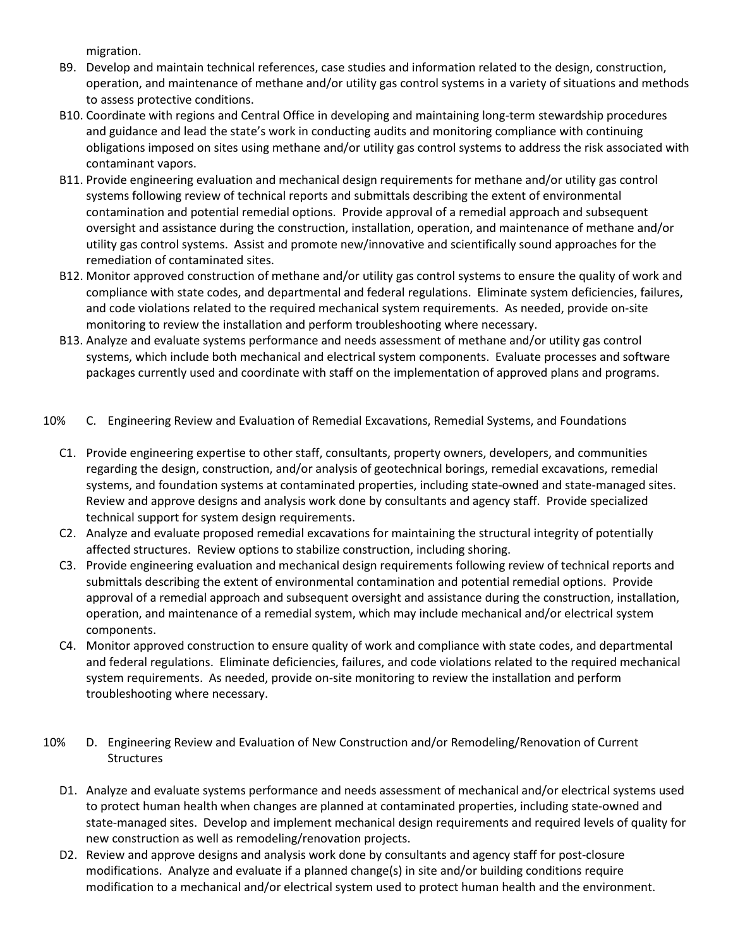migration.

- B9. Develop and maintain technical references, case studies and information related to the design, construction, operation, and maintenance of methane and/or utility gas control systems in a variety of situations and methods to assess protective conditions.
- B10. Coordinate with regions and Central Office in developing and maintaining long-term stewardship procedures and guidance and lead the state's work in conducting audits and monitoring compliance with continuing obligations imposed on sites using methane and/or utility gas control systems to address the risk associated with contaminant vapors.
- B11. Provide engineering evaluation and mechanical design requirements for methane and/or utility gas control systems following review of technical reports and submittals describing the extent of environmental contamination and potential remedial options. Provide approval of a remedial approach and subsequent oversight and assistance during the construction, installation, operation, and maintenance of methane and/or utility gas control systems. Assist and promote new/innovative and scientifically sound approaches for the remediation of contaminated sites.
- B12. Monitor approved construction of methane and/or utility gas control systems to ensure the quality of work and compliance with state codes, and departmental and federal regulations. Eliminate system deficiencies, failures, and code violations related to the required mechanical system requirements. As needed, provide on-site monitoring to review the installation and perform troubleshooting where necessary.
- B13. Analyze and evaluate systems performance and needs assessment of methane and/or utility gas control systems, which include both mechanical and electrical system components. Evaluate processes and software packages currently used and coordinate with staff on the implementation of approved plans and programs.
- 10% C. Engineering Review and Evaluation of Remedial Excavations, Remedial Systems, and Foundations
	- C1. Provide engineering expertise to other staff, consultants, property owners, developers, and communities regarding the design, construction, and/or analysis of geotechnical borings, remedial excavations, remedial systems, and foundation systems at contaminated properties, including state-owned and state-managed sites. Review and approve designs and analysis work done by consultants and agency staff. Provide specialized technical support for system design requirements.
	- C2. Analyze and evaluate proposed remedial excavations for maintaining the structural integrity of potentially affected structures. Review options to stabilize construction, including shoring.
	- C3. Provide engineering evaluation and mechanical design requirements following review of technical reports and submittals describing the extent of environmental contamination and potential remedial options. Provide approval of a remedial approach and subsequent oversight and assistance during the construction, installation, operation, and maintenance of a remedial system, which may include mechanical and/or electrical system components.
	- C4. Monitor approved construction to ensure quality of work and compliance with state codes, and departmental and federal regulations. Eliminate deficiencies, failures, and code violations related to the required mechanical system requirements. As needed, provide on-site monitoring to review the installation and perform troubleshooting where necessary.
- 10% D. Engineering Review and Evaluation of New Construction and/or Remodeling/Renovation of Current **Structures** 
	- D1. Analyze and evaluate systems performance and needs assessment of mechanical and/or electrical systems used to protect human health when changes are planned at contaminated properties, including state-owned and state-managed sites. Develop and implement mechanical design requirements and required levels of quality for new construction as well as remodeling/renovation projects.
	- D2. Review and approve designs and analysis work done by consultants and agency staff for post-closure modifications. Analyze and evaluate if a planned change(s) in site and/or building conditions require modification to a mechanical and/or electrical system used to protect human health and the environment.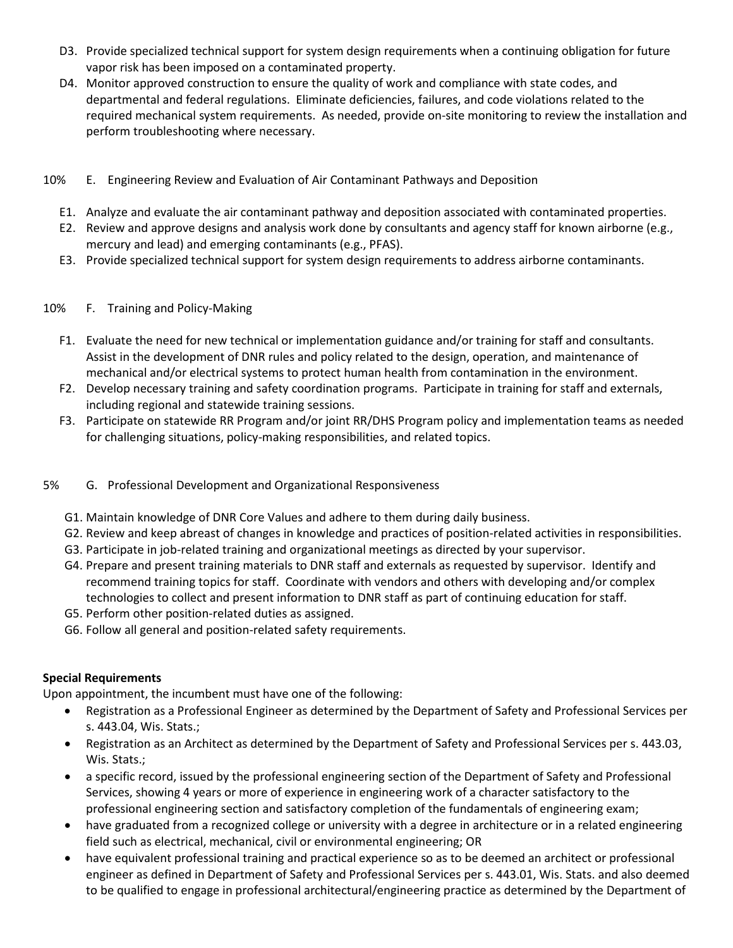- D3. Provide specialized technical support for system design requirements when a continuing obligation for future vapor risk has been imposed on a contaminated property.
- D4. Monitor approved construction to ensure the quality of work and compliance with state codes, and departmental and federal regulations. Eliminate deficiencies, failures, and code violations related to the required mechanical system requirements. As needed, provide on-site monitoring to review the installation and perform troubleshooting where necessary.
- 10% E. Engineering Review and Evaluation of Air Contaminant Pathways and Deposition
	- E1. Analyze and evaluate the air contaminant pathway and deposition associated with contaminated properties.
	- E2. Review and approve designs and analysis work done by consultants and agency staff for known airborne (e.g., mercury and lead) and emerging contaminants (e.g., PFAS).
	- E3. Provide specialized technical support for system design requirements to address airborne contaminants.
- 10% F. Training and Policy-Making
	- F1. Evaluate the need for new technical or implementation guidance and/or training for staff and consultants. Assist in the development of DNR rules and policy related to the design, operation, and maintenance of mechanical and/or electrical systems to protect human health from contamination in the environment.
	- F2. Develop necessary training and safety coordination programs. Participate in training for staff and externals, including regional and statewide training sessions.
	- F3. Participate on statewide RR Program and/or joint RR/DHS Program policy and implementation teams as needed for challenging situations, policy-making responsibilities, and related topics.
- 5% G. Professional Development and Organizational Responsiveness
	- G1. Maintain knowledge of DNR Core Values and adhere to them during daily business.
	- G2. Review and keep abreast of changes in knowledge and practices of position-related activities in responsibilities.
	- G3. Participate in job-related training and organizational meetings as directed by your supervisor.
	- G4. Prepare and present training materials to DNR staff and externals as requested by supervisor. Identify and recommend training topics for staff. Coordinate with vendors and others with developing and/or complex technologies to collect and present information to DNR staff as part of continuing education for staff.
	- G5. Perform other position-related duties as assigned.
	- G6. Follow all general and position-related safety requirements.

# **Special Requirements**

Upon appointment, the incumbent must have one of the following:

- Registration as a Professional Engineer as determined by the Department of Safety and Professional Services per s. 443.04, Wis. Stats.;
- Registration as an Architect as determined by the Department of Safety and Professional Services per s. 443.03, Wis. Stats.;
- a specific record, issued by the professional engineering section of the Department of Safety and Professional Services, showing 4 years or more of experience in engineering work of a character satisfactory to the professional engineering section and satisfactory completion of the fundamentals of engineering exam;
- have graduated from a recognized college or university with a degree in architecture or in a related engineering field such as electrical, mechanical, civil or environmental engineering; OR
- have equivalent professional training and practical experience so as to be deemed an architect or professional engineer as defined in Department of Safety and Professional Services per s. 443.01, Wis. Stats. and also deemed to be qualified to engage in professional architectural/engineering practice as determined by the Department of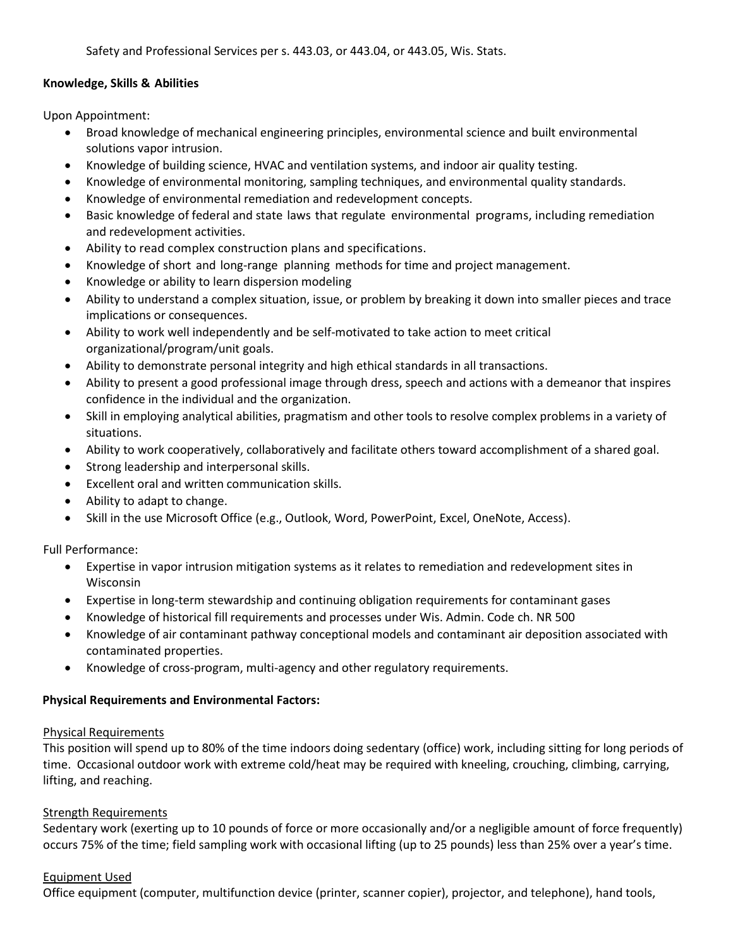Safety and Professional Services per s. 443.03, or 443.04, or 443.05, Wis. Stats.

## **Knowledge, Skills & Abilities**

Upon Appointment:

- Broad knowledge of mechanical engineering principles, environmental science and built environmental solutions vapor intrusion.
- Knowledge of building science, HVAC and ventilation systems, and indoor air quality testing.
- Knowledge of environmental monitoring, sampling techniques, and environmental quality standards.
- Knowledge of environmental remediation and redevelopment concepts.
- Basic knowledge of federal and state laws that regulate environmental programs, including remediation and redevelopment activities.
- Ability to read complex construction plans and specifications.
- Knowledge of short and long-range planning methods for time and project management.
- Knowledge or ability to learn dispersion modeling
- Ability to understand a complex situation, issue, or problem by breaking it down into smaller pieces and trace implications or consequences.
- Ability to work well independently and be self-motivated to take action to meet critical organizational/program/unit goals.
- Ability to demonstrate personal integrity and high ethical standards in all transactions.
- Ability to present a good professional image through dress, speech and actions with a demeanor that inspires confidence in the individual and the organization.
- Skill in employing analytical abilities, pragmatism and other tools to resolve complex problems in a variety of situations.
- Ability to work cooperatively, collaboratively and facilitate others toward accomplishment of a shared goal.
- Strong leadership and interpersonal skills.
- Excellent oral and written communication skills.
- Ability to adapt to change.
- Skill in the use Microsoft Office (e.g., Outlook, Word, PowerPoint, Excel, OneNote, Access).

Full Performance:

- Expertise in vapor intrusion mitigation systems as it relates to remediation and redevelopment sites in Wisconsin
- Expertise in long-term stewardship and continuing obligation requirements for contaminant gases
- Knowledge of historical fill requirements and processes under Wis. Admin. Code ch. NR 500
- Knowledge of air contaminant pathway conceptional models and contaminant air deposition associated with contaminated properties.
- Knowledge of cross-program, multi-agency and other regulatory requirements.

### **Physical Requirements and Environmental Factors:**

### Physical Requirements

This position will spend up to 80% of the time indoors doing sedentary (office) work, including sitting for long periods of time. Occasional outdoor work with extreme cold/heat may be required with kneeling, crouching, climbing, carrying, lifting, and reaching.

### Strength Requirements

Sedentary work (exerting up to 10 pounds of force or more occasionally and/or a negligible amount of force frequently) occurs 75% of the time; field sampling work with occasional lifting (up to 25 pounds) less than 25% over a year's time.

### Equipment Used

Office equipment (computer, multifunction device (printer, scanner copier), projector, and telephone), hand tools,